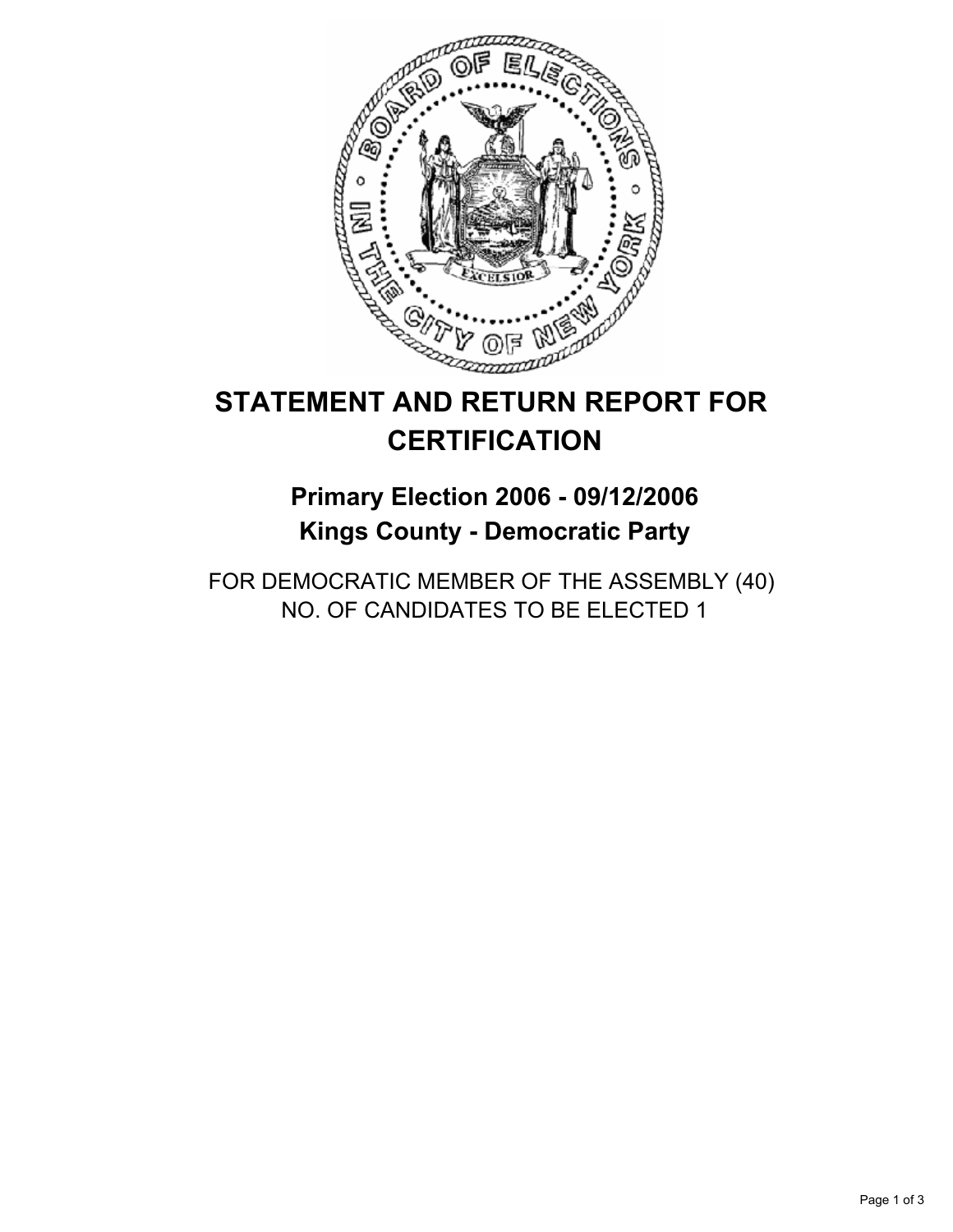

# **STATEMENT AND RETURN REPORT FOR CERTIFICATION**

# **Primary Election 2006 - 09/12/2006 Kings County - Democratic Party**

FOR DEMOCRATIC MEMBER OF THE ASSEMBLY (40) NO. OF CANDIDATES TO BE ELECTED 1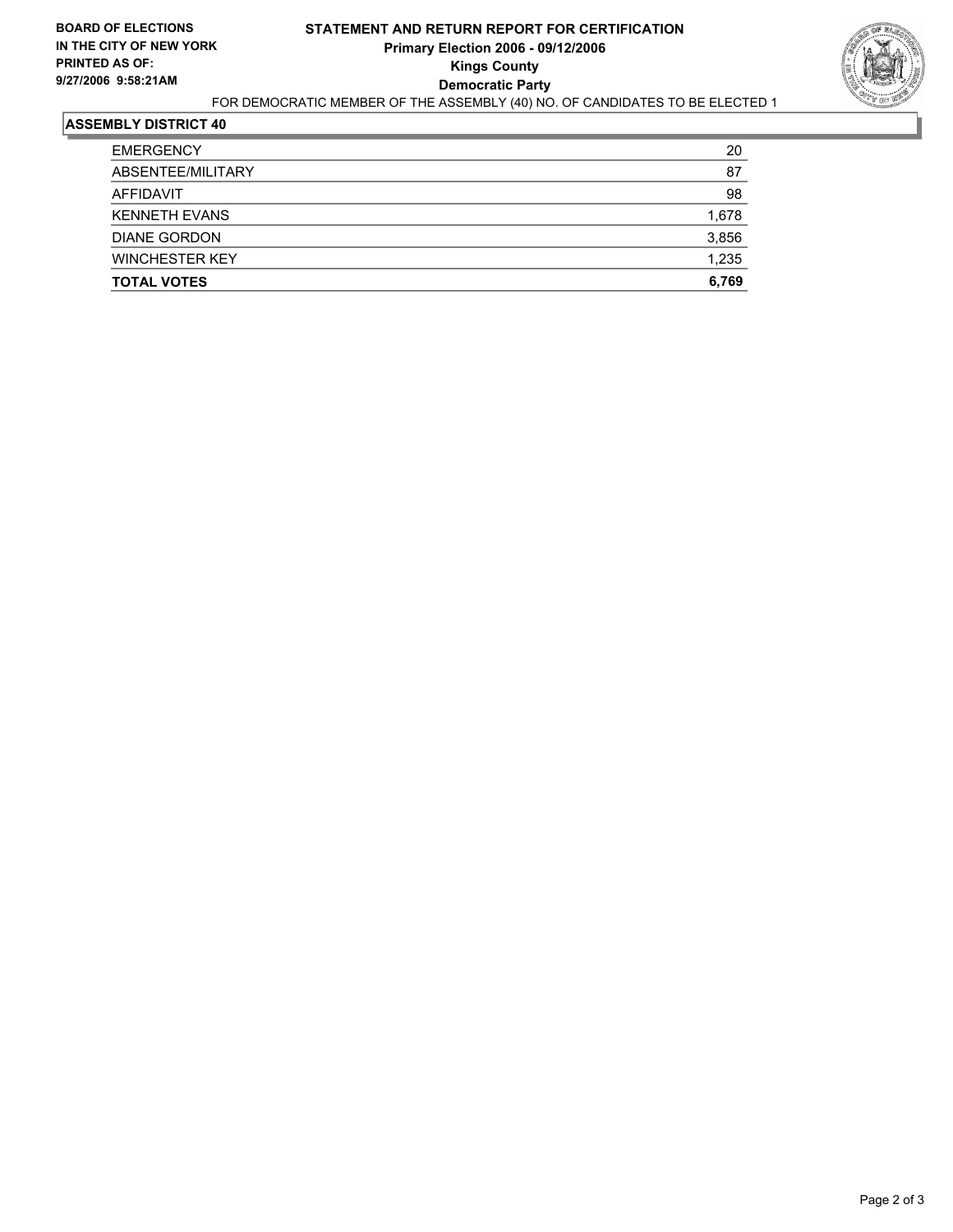

## **ASSEMBLY DISTRICT 40**

| <b>EMERGENCY</b>      | 20    |
|-----------------------|-------|
| ABSENTEE/MILITARY     | 87    |
| AFFIDAVIT             | 98    |
| <b>KENNETH EVANS</b>  | 1,678 |
| <b>DIANE GORDON</b>   | 3,856 |
| <b>WINCHESTER KEY</b> | 1,235 |
| <b>TOTAL VOTES</b>    | 6,769 |